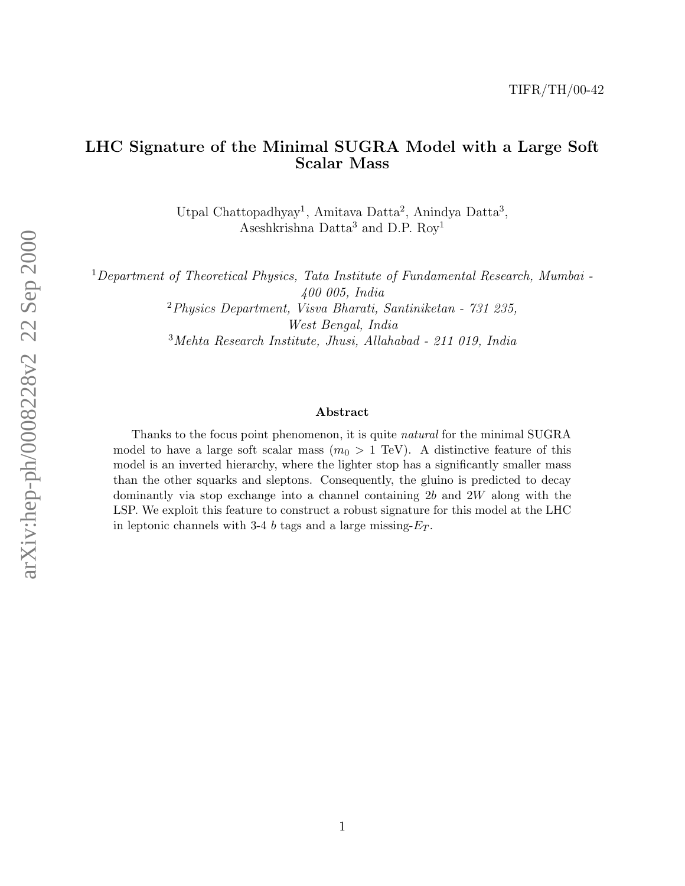# LHC Signature of the Minimal SUGRA Model with a Large Soft Scalar Mass

Utpal Chattopadhyay<sup>1</sup>, Amitava Datta<sup>2</sup>, Anindya Datta<sup>3</sup>, Aseshkrishna Datta<sup>3</sup> and D.P. Roy<sup>1</sup>

<sup>1</sup>Department of Theoretical Physics, Tata Institute of Fundamental Research, Mumbai - 400 005, India

 ${}^{2}$ Physics Department, Visva Bharati, Santiniketan - 731 235,

West Bengal, India

<sup>3</sup>Mehta Research Institute, Jhusi, Allahabad - 211 019, India

#### Abstract

Thanks to the focus point phenomenon, it is quite natural for the minimal SUGRA model to have a large soft scalar mass  $(m_0 > 1 \text{ TeV})$ . A distinctive feature of this model is an inverted hierarchy, where the lighter stop has a significantly smaller mass than the other squarks and sleptons. Consequently, the gluino is predicted to decay dominantly via stop exchange into a channel containing  $2b$  and  $2W$  along with the LSP. We exploit this feature to construct a robust signature for this model at the LHC in leptonic channels with 3-4 b tags and a large missing- $E_T$ .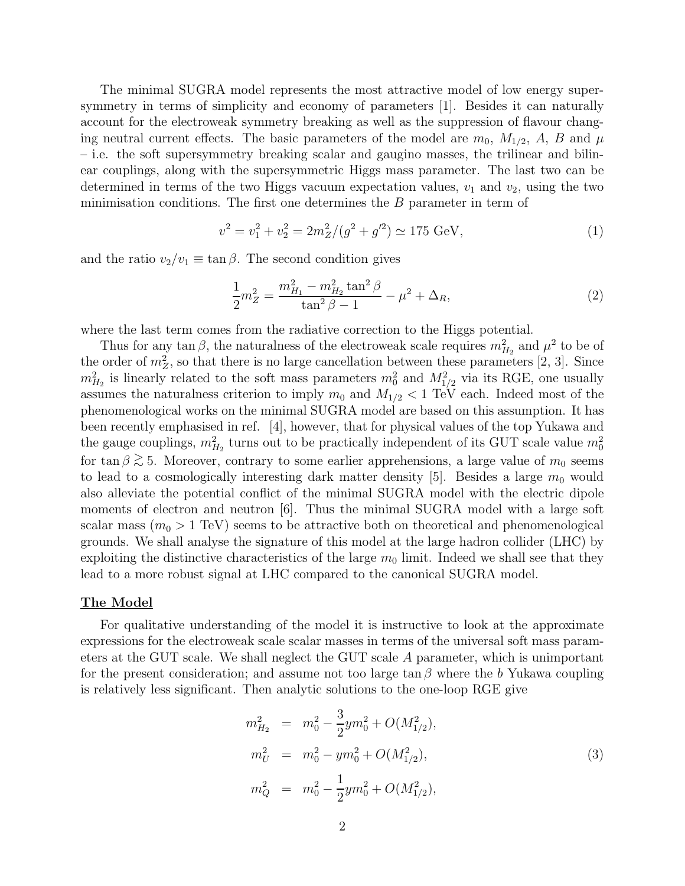The minimal SUGRA model represents the most attractive model of low energy supersymmetry in terms of simplicity and economy of parameters [1]. Besides it can naturally account for the electroweak symmetry breaking as well as the suppression of flavour changing neutral current effects. The basic parameters of the model are  $m_0$ ,  $M_{1/2}$ , A, B and  $\mu$ – i.e. the soft supersymmetry breaking scalar and gaugino masses, the trilinear and bilinear couplings, along with the supersymmetric Higgs mass parameter. The last two can be determined in terms of the two Higgs vacuum expectation values,  $v_1$  and  $v_2$ , using the two minimisation conditions. The first one determines the  $B$  parameter in term of

$$
v^2 = v_1^2 + v_2^2 = 2m_Z^2/(g^2 + g'^2) \simeq 175 \text{ GeV},\tag{1}
$$

and the ratio  $v_2/v_1 \equiv \tan \beta$ . The second condition gives

$$
\frac{1}{2}m_Z^2 = \frac{m_{H_1}^2 - m_{H_2}^2 \tan^2 \beta}{\tan^2 \beta - 1} - \mu^2 + \Delta_R,\tag{2}
$$

where the last term comes from the radiative correction to the Higgs potential.

Thus for any tan  $\beta$ , the naturalness of the electroweak scale requires  $m_{H_2}^2$  and  $\mu^2$  to be of the order of  $m_Z^2$ , so that there is no large cancellation between these parameters [2, 3]. Since  $m_{H_2}^2$  is linearly related to the soft mass parameters  $m_0^2$  and  $M_{1/2}^2$  via its RGE, one usually assumes the naturalness criterion to imply  $m_0$  and  $M_{1/2} < 1$  TeV each. Indeed most of the phenomenological works on the minimal SUGRA model are based on this assumption. It has been recently emphasised in ref. [4], however, that for physical values of the top Yukawa and the gauge couplings,  $m_{H_2}^2$  turns out to be practically independent of its GUT scale value  $m_0^2$ for tan  $\beta \gtrsim 5$ . Moreover, contrary to some earlier apprehensions, a large value of  $m_0$  seems to lead to a cosmologically interesting dark matter density [5]. Besides a large  $m_0$  would also alleviate the potential conflict of the minimal SUGRA model with the electric dipole moments of electron and neutron [6]. Thus the minimal SUGRA model with a large soft scalar mass  $(m_0 > 1 \text{ TeV})$  seems to be attractive both on theoretical and phenomenological grounds. We shall analyse the signature of this model at the large hadron collider (LHC) by exploiting the distinctive characteristics of the large  $m_0$  limit. Indeed we shall see that they lead to a more robust signal at LHC compared to the canonical SUGRA model.

## The Model

For qualitative understanding of the model it is instructive to look at the approximate expressions for the electroweak scale scalar masses in terms of the universal soft mass parameters at the GUT scale. We shall neglect the GUT scale A parameter, which is unimportant for the present consideration; and assume not too large  $\tan \beta$  where the b Yukawa coupling is relatively less significant. Then analytic solutions to the one-loop RGE give

$$
m_{H_2}^2 = m_0^2 - \frac{3}{2}ym_0^2 + O(M_{1/2}^2),
$$
  
\n
$$
m_U^2 = m_0^2 - ym_0^2 + O(M_{1/2}^2),
$$
  
\n
$$
m_Q^2 = m_0^2 - \frac{1}{2}ym_0^2 + O(M_{1/2}^2),
$$
\n(3)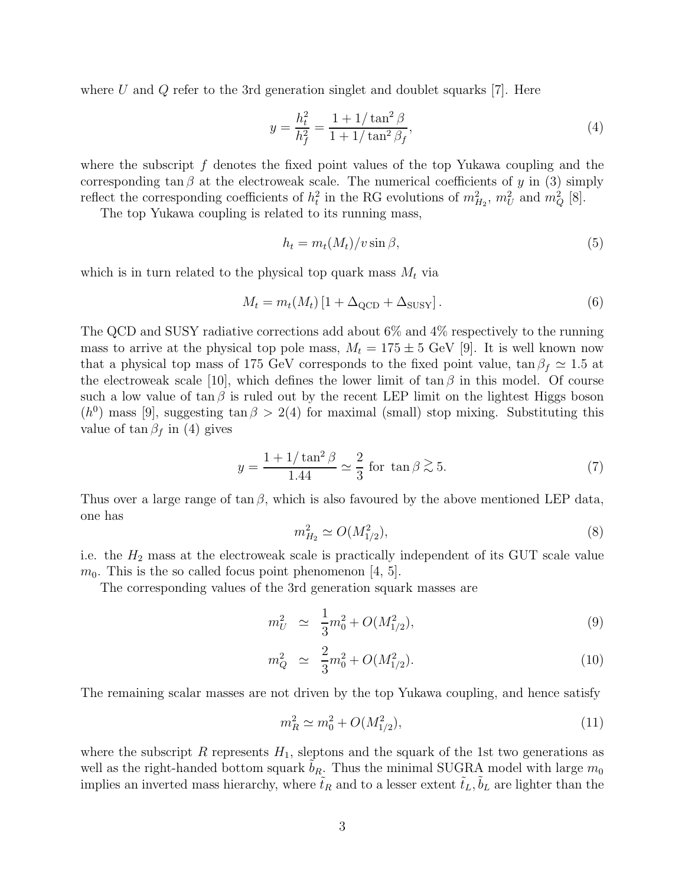where U and Q refer to the 3rd generation singlet and doublet squarks  $|7|$ . Here

$$
y = \frac{h_t^2}{h_f^2} = \frac{1 + 1/\tan^2 \beta}{1 + 1/\tan^2 \beta_f},
$$
\n(4)

where the subscript  $f$  denotes the fixed point values of the top Yukawa coupling and the corresponding tan  $\beta$  at the electroweak scale. The numerical coefficients of y in (3) simply reflect the corresponding coefficients of  $h_t^2$  in the RG evolutions of  $m_{H_2}^2$ ,  $m_U^2$  and  $m_Q^2$  [8].

The top Yukawa coupling is related to its running mass,

$$
h_t = m_t(M_t)/v \sin \beta,\tag{5}
$$

which is in turn related to the physical top quark mass  $M_t$  via

$$
M_t = m_t(M_t) \left[ 1 + \Delta_{\text{QCD}} + \Delta_{\text{SUSY}} \right]. \tag{6}
$$

The QCD and SUSY radiative corrections add about 6% and 4% respectively to the running mass to arrive at the physical top pole mass,  $M_t = 175 \pm 5$  GeV [9]. It is well known now that a physical top mass of 175 GeV corresponds to the fixed point value, tan  $\beta_f \simeq 1.5$  at the electroweak scale [10], which defines the lower limit of  $\tan \beta$  in this model. Of course such a low value of  $\tan \beta$  is ruled out by the recent LEP limit on the lightest Higgs boson  $(h^0)$  mass [9], suggesting tan  $\beta > 2(4)$  for maximal (small) stop mixing. Substituting this value of  $\tan \beta_f$  in (4) gives

$$
y = \frac{1 + 1/\tan^2 \beta}{1.44} \simeq \frac{2}{3} \text{ for } \tan \beta \gtrsim 5. \tag{7}
$$

Thus over a large range of  $\tan \beta$ , which is also favoured by the above mentioned LEP data, one has

$$
m_{H_2}^2 \simeq O(M_{1/2}^2),\tag{8}
$$

i.e. the  $H_2$  mass at the electroweak scale is practically independent of its GUT scale value  $m_0$ . This is the so called focus point phenomenon [4, 5].

The corresponding values of the 3rd generation squark masses are

$$
m_U^2 \simeq \frac{1}{3}m_0^2 + O(M_{1/2}^2), \tag{9}
$$

$$
m_Q^2 \simeq \frac{2}{3}m_0^2 + O(M_{1/2}^2). \tag{10}
$$

The remaining scalar masses are not driven by the top Yukawa coupling, and hence satisfy

$$
m_R^2 \simeq m_0^2 + O(M_{1/2}^2),\tag{11}
$$

where the subscript R represents  $H_1$ , sleptons and the squark of the 1st two generations as well as the right-handed bottom squark  $b_R$ . Thus the minimal SUGRA model with large  $m_0$ implies an inverted mass hierarchy, where  $\tilde{t}_R$  and to a lesser extent  $\tilde{t}_L, \tilde{b}_L$  are lighter than the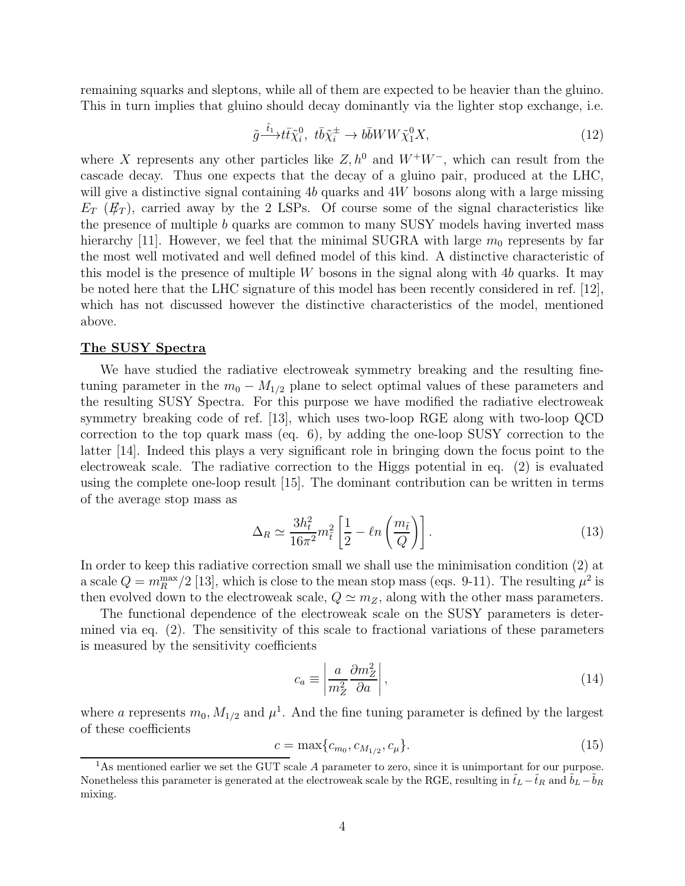remaining squarks and sleptons, while all of them are expected to be heavier than the gluino. This in turn implies that gluino should decay dominantly via the lighter stop exchange, i.e.

$$
\tilde{g} \xrightarrow{\tilde{t}_{1}} t \bar{t} \tilde{\chi}_{i}^{0}, \ t \bar{b} \tilde{\chi}_{i}^{\pm} \to b \bar{b} WW \tilde{\chi}_{1}^{0} X, \tag{12}
$$

where X represents any other particles like  $Z, h^0$  and  $W^+W^-$ , which can result from the cascade decay. Thus one expects that the decay of a gluino pair, produced at the LHC, will give a distinctive signal containing  $4b$  quarks and  $4W$  bosons along with a large missing  $E_T$  ( $E_T$ ), carried away by the 2 LSPs. Of course some of the signal characteristics like the presence of multiple b quarks are common to many SUSY models having inverted mass hierarchy [11]. However, we feel that the minimal SUGRA with large  $m_0$  represents by far the most well motivated and well defined model of this kind. A distinctive characteristic of this model is the presence of multiple  $W$  bosons in the signal along with 4b quarks. It may be noted here that the LHC signature of this model has been recently considered in ref. [12], which has not discussed however the distinctive characteristics of the model, mentioned above.

#### The SUSY Spectra

We have studied the radiative electroweak symmetry breaking and the resulting finetuning parameter in the  $m_0 - M_{1/2}$  plane to select optimal values of these parameters and the resulting SUSY Spectra. For this purpose we have modified the radiative electroweak symmetry breaking code of ref. [13], which uses two-loop RGE along with two-loop QCD correction to the top quark mass (eq. 6), by adding the one-loop SUSY correction to the latter [14]. Indeed this plays a very significant role in bringing down the focus point to the electroweak scale. The radiative correction to the Higgs potential in eq. (2) is evaluated using the complete one-loop result [15]. The dominant contribution can be written in terms of the average stop mass as

$$
\Delta_R \simeq \frac{3h_t^2}{16\pi^2} m_{\tilde{t}}^2 \left[ \frac{1}{2} - \ln\left(\frac{m_{\tilde{t}}}{Q}\right) \right]. \tag{13}
$$

In order to keep this radiative correction small we shall use the minimisation condition (2) at a scale  $Q = m_R^{\text{max}}/2$  [13], which is close to the mean stop mass (eqs. 9-11). The resulting  $\mu^2$  is then evolved down to the electroweak scale,  $Q \simeq m_Z$ , along with the other mass parameters.

The functional dependence of the electroweak scale on the SUSY parameters is determined via eq. (2). The sensitivity of this scale to fractional variations of these parameters is measured by the sensitivity coefficients

$$
c_a \equiv \left| \frac{a}{m_Z^2} \frac{\partial m_Z^2}{\partial a} \right|,\tag{14}
$$

where a represents  $m_0, M_{1/2}$  and  $\mu^1$ . And the fine tuning parameter is defined by the largest of these coefficients

$$
c = \max\{c_{m_0}, c_{M_{1/2}}, c_{\mu}\}.
$$
\n(15)

<sup>&</sup>lt;sup>1</sup>As mentioned earlier we set the GUT scale A parameter to zero, since it is unimportant for our purpose. Nonetheless this parameter is generated at the electroweak scale by the RGE, resulting in  $\tilde{t}_L - \tilde{t}_R$  and  $b_L - b_R$ mixing.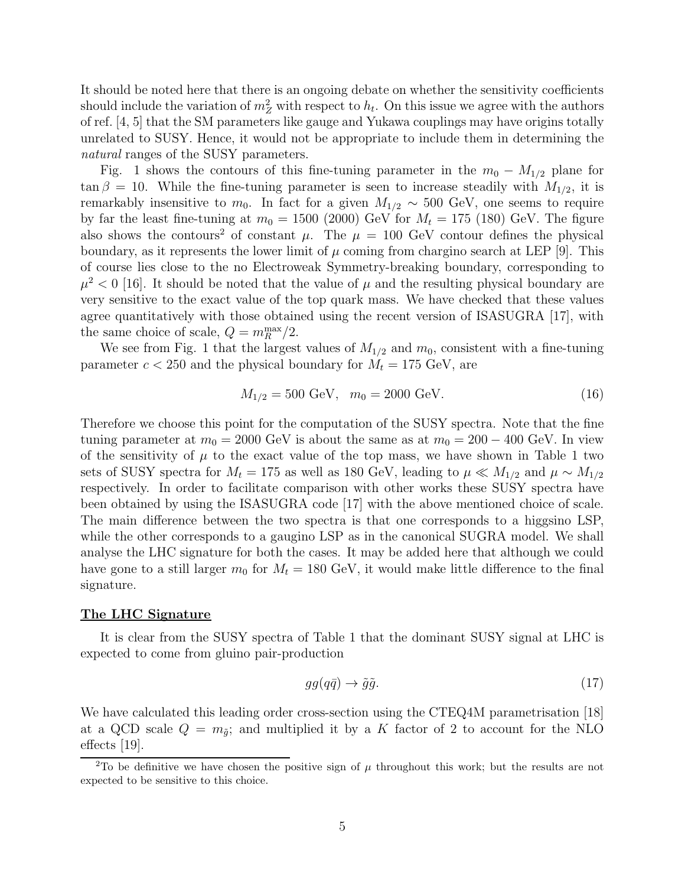It should be noted here that there is an ongoing debate on whether the sensitivity coefficients should include the variation of  $m_Z^2$  with respect to  $h_t$ . On this issue we agree with the authors of ref. [4, 5] that the SM parameters like gauge and Yukawa couplings may have origins totally unrelated to SUSY. Hence, it would not be appropriate to include them in determining the natural ranges of the SUSY parameters.

Fig. 1 shows the contours of this fine-tuning parameter in the  $m_0 - M_{1/2}$  plane for  $\tan \beta = 10$ . While the fine-tuning parameter is seen to increase steadily with  $M_{1/2}$ , it is remarkably insensitive to  $m_0$ . In fact for a given  $M_{1/2} \sim 500$  GeV, one seems to require by far the least fine-tuning at  $m_0 = 1500$  (2000) GeV for  $M_t = 175$  (180) GeV. The figure also shows the contours<sup>2</sup> of constant  $\mu$ . The  $\mu = 100$  GeV contour defines the physical boundary, as it represents the lower limit of  $\mu$  coming from chargino search at LEP [9]. This of course lies close to the no Electroweak Symmetry-breaking boundary, corresponding to  $\mu^2$  < 0 [16]. It should be noted that the value of  $\mu$  and the resulting physical boundary are very sensitive to the exact value of the top quark mass. We have checked that these values agree quantitatively with those obtained using the recent version of ISASUGRA [17], with the same choice of scale,  $Q = m_R^{\text{max}}/2$ .

We see from Fig. 1 that the largest values of  $M_{1/2}$  and  $m_0$ , consistent with a fine-tuning parameter  $c < 250$  and the physical boundary for  $M_t = 175$  GeV, are

$$
M_{1/2} = 500 \text{ GeV}, \quad m_0 = 2000 \text{ GeV}. \tag{16}
$$

Therefore we choose this point for the computation of the SUSY spectra. Note that the fine tuning parameter at  $m_0 = 2000 \text{ GeV}$  is about the same as at  $m_0 = 200 - 400 \text{ GeV}$ . In view of the sensitivity of  $\mu$  to the exact value of the top mass, we have shown in Table 1 two sets of SUSY spectra for  $M_t = 175$  as well as 180 GeV, leading to  $\mu \ll M_{1/2}$  and  $\mu \sim M_{1/2}$ respectively. In order to facilitate comparison with other works these SUSY spectra have been obtained by using the ISASUGRA code [17] with the above mentioned choice of scale. The main difference between the two spectra is that one corresponds to a higgsino LSP, while the other corresponds to a gaugino LSP as in the canonical SUGRA model. We shall analyse the LHC signature for both the cases. It may be added here that although we could have gone to a still larger  $m_0$  for  $M_t = 180$  GeV, it would make little difference to the final signature.

## The LHC Signature

It is clear from the SUSY spectra of Table 1 that the dominant SUSY signal at LHC is expected to come from gluino pair-production

$$
gg(q\bar{q}) \to \tilde{g}\tilde{g}.\tag{17}
$$

We have calculated this leading order cross-section using the CTEQ4M parametrisation [18] at a QCD scale  $Q = m_{\tilde{g}}$ ; and multiplied it by a K factor of 2 to account for the NLO effects  $|19|$ .

<sup>&</sup>lt;sup>2</sup>To be definitive we have chosen the positive sign of  $\mu$  throughout this work; but the results are not expected to be sensitive to this choice.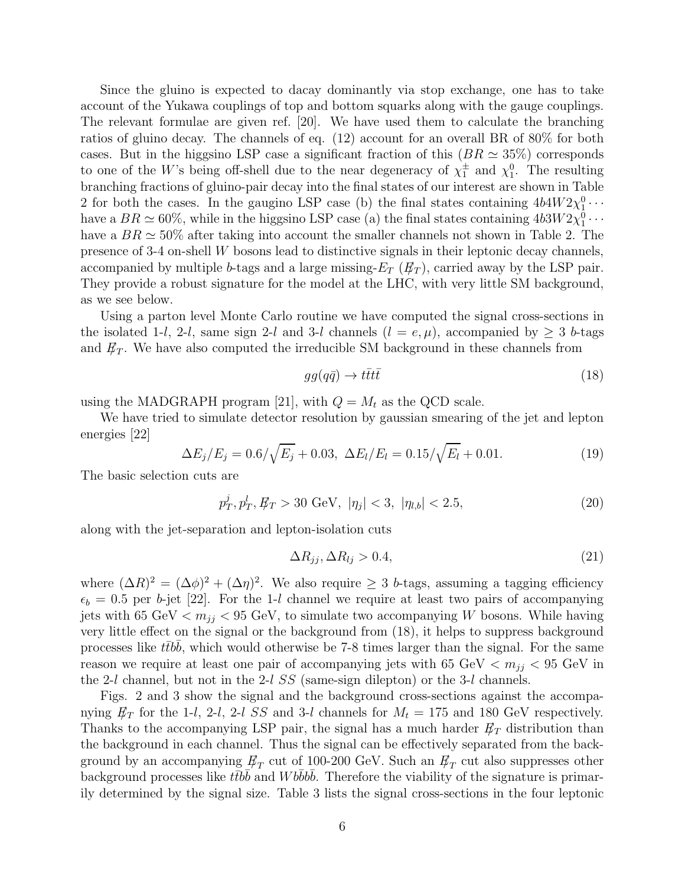Since the gluino is expected to dacay dominantly via stop exchange, one has to take account of the Yukawa couplings of top and bottom squarks along with the gauge couplings. The relevant formulae are given ref. [20]. We have used them to calculate the branching ratios of gluino decay. The channels of eq. (12) account for an overall BR of 80% for both cases. But in the higgsino LSP case a significant fraction of this  $(BR \simeq 35\%)$  corresponds to one of the W's being off-shell due to the near degeneracy of  $\chi_1^{\pm}$  and  $\chi_1^0$ . The resulting branching fractions of gluino-pair decay into the final states of our interest are shown in Table 2 for both the cases. In the gaugino LSP case (b) the final states containing  $4b4W2\chi_1^0\cdots$ have a  $BR \simeq 60\%$ , while in the higgsino LSP case (a) the final states containing  $4b3W2\chi_1^0 \cdots$ have a  $BR \simeq 50\%$  after taking into account the smaller channels not shown in Table 2. The presence of 3-4 on-shell W bosons lead to distinctive signals in their leptonic decay channels, accompanied by multiple b-tags and a large missing- $E_T$  ( $E_T$ ), carried away by the LSP pair. They provide a robust signature for the model at the LHC, with very little SM background, as we see below.

Using a parton level Monte Carlo routine we have computed the signal cross-sections in the isolated 1-*l*, 2-*l*, same sign 2-*l* and 3-*l* channels  $(l = e, \mu)$ , accompanied by  $\geq 3$  *b*-tags and  $E_T$ . We have also computed the irreducible SM background in these channels from

$$
gg(q\bar{q}) \to t\bar{t}t\bar{t} \tag{18}
$$

using the MADGRAPH program [21], with  $Q = M_t$  as the QCD scale.

We have tried to simulate detector resolution by gaussian smearing of the jet and lepton energies [22]

$$
\Delta E_j/E_j = 0.6/\sqrt{E_j} + 0.03, \ \Delta E_l/E_l = 0.15/\sqrt{E_l} + 0.01. \tag{19}
$$

The basic selection cuts are

$$
p_T^j, p_T^l, E_T > 30 \text{ GeV}, |\eta_j| < 3, |\eta_{l,b}| < 2.5,\tag{20}
$$

along with the jet-separation and lepton-isolation cuts

$$
\Delta R_{jj}, \Delta R_{lj} > 0.4,\tag{21}
$$

where  $(\Delta R)^2 = (\Delta \phi)^2 + (\Delta \eta)^2$ . We also require  $\geq 3$  b-tags, assuming a tagging efficiency  $\epsilon_b = 0.5$  per b-jet [22]. For the 1-l channel we require at least two pairs of accompanying jets with 65 GeV  $\langle m_{ij} \rangle$  = 95 GeV, to simulate two accompanying W bosons. While having very little effect on the signal or the background from (18), it helps to suppress background processes like *ttbb*, which would otherwise be 7-8 times larger than the signal. For the same reason we require at least one pair of accompanying jets with 65 GeV  $\langle m_{ij} \rangle$  = 95 GeV in the 2-l channel, but not in the 2-l  $SS$  (same-sign dilepton) or the 3-l channels.

Figs. 2 and 3 show the signal and the background cross-sections against the accompanying  $E_T$  for the 1-l, 2-l, 2-l SS and 3-l channels for  $M_t = 175$  and 180 GeV respectively. Thanks to the accompanying LSP pair, the signal has a much harder  $E_T$  distribution than the background in each channel. Thus the signal can be effectively separated from the background by an accompanying  $\cancel{F}_T$  cut of 100-200 GeV. Such an  $\cancel{F}_T$  cut also suppresses other background processes like *ttbb* and *W bbbb*. Therefore the viability of the signature is primarily determined by the signal size. Table 3 lists the signal cross-sections in the four leptonic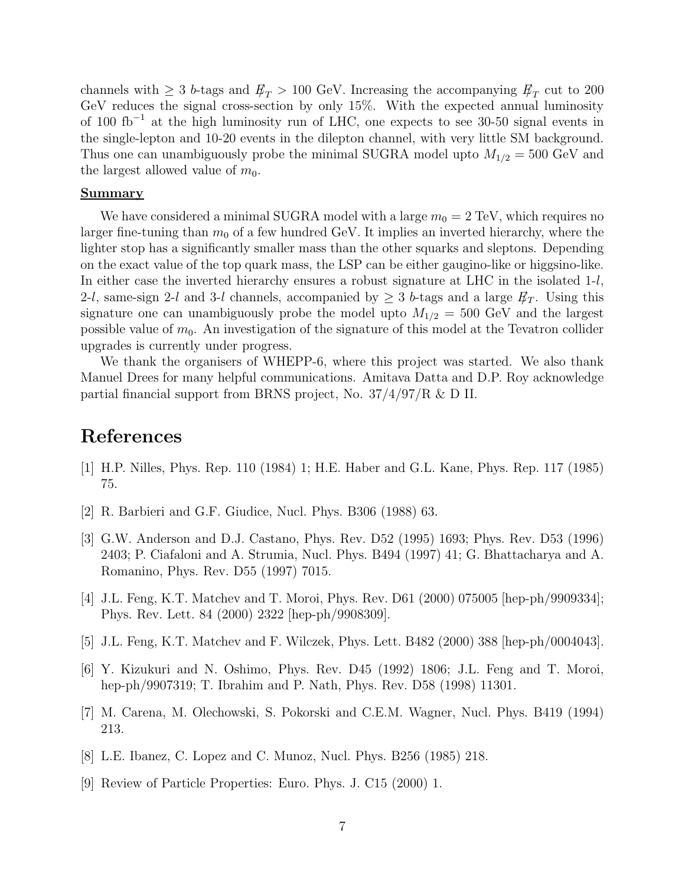channels with  $\geq 3$  b-tags and  $E/T_f > 100$  GeV. Increasing the accompanying  $E/T_f$  cut to 200 GeV reduces the signal cross-section by only 15%. With the expected annual luminosity of 100 fb<sup>−</sup><sup>1</sup> at the high luminosity run of LHC, one expects to see 30-50 signal events in the single-lepton and 10-20 events in the dilepton channel, with very little SM background. Thus one can unambiguously probe the minimal SUGRA model upto  $M_{1/2} = 500$  GeV and the largest allowed value of  $m_0$ .

#### **Summary**

We have considered a minimal SUGRA model with a large  $m_0 = 2 \text{ TeV}$ , which requires no larger fine-tuning than  $m_0$  of a few hundred GeV. It implies an inverted hierarchy, where the lighter stop has a significantly smaller mass than the other squarks and sleptons. Depending on the exact value of the top quark mass, the LSP can be either gaugino-like or higgsino-like. In either case the inverted hierarchy ensures a robust signature at LHC in the isolated 1-l, 2-l, same-sign 2-l and 3-l channels, accompanied by  $\geq 3$  b-tags and a large  $E_T$ . Using this signature one can unambiguously probe the model upto  $M_{1/2} = 500$  GeV and the largest possible value of  $m_0$ . An investigation of the signature of this model at the Tevatron collider upgrades is currently under progress.

We thank the organisers of WHEPP-6, where this project was started. We also thank Manuel Drees for many helpful communications. Amitava Datta and D.P. Roy acknowledge partial financial support from BRNS project, No. 37/4/97/R & D II.

# References

- [1] H.P. Nilles, Phys. Rep. 110 (1984) 1; H.E. Haber and G.L. Kane, Phys. Rep. 117 (1985) 75.
- [2] R. Barbieri and G.F. Giudice, Nucl. Phys. B306 (1988) 63.
- [3] G.W. Anderson and D.J. Castano, Phys. Rev. D52 (1995) 1693; Phys. Rev. D53 (1996) 2403; P. Ciafaloni and A. Strumia, Nucl. Phys. B494 (1997) 41; G. Bhattacharya and A. Romanino, Phys. Rev. D55 (1997) 7015.
- [4] J.L. Feng, K.T. Matchev and T. Moroi, Phys. Rev. D61 (2000) 075005 [hep-ph/9909334]; Phys. Rev. Lett. 84 (2000) 2322 [hep-ph/9908309].
- [5] J.L. Feng, K.T. Matchev and F. Wilczek, Phys. Lett. B482 (2000) 388 [hep-ph/0004043].
- [6] Y. Kizukuri and N. Oshimo, Phys. Rev. D45 (1992) 1806; J.L. Feng and T. Moroi, hep-ph/9907319; T. Ibrahim and P. Nath, Phys. Rev. D58 (1998) 11301.
- [7] M. Carena, M. Olechowski, S. Pokorski and C.E.M. Wagner, Nucl. Phys. B419 (1994) 213.
- [8] L.E. Ibanez, C. Lopez and C. Munoz, Nucl. Phys. B256 (1985) 218.
- [9] Review of Particle Properties: Euro. Phys. J. C15 (2000) 1.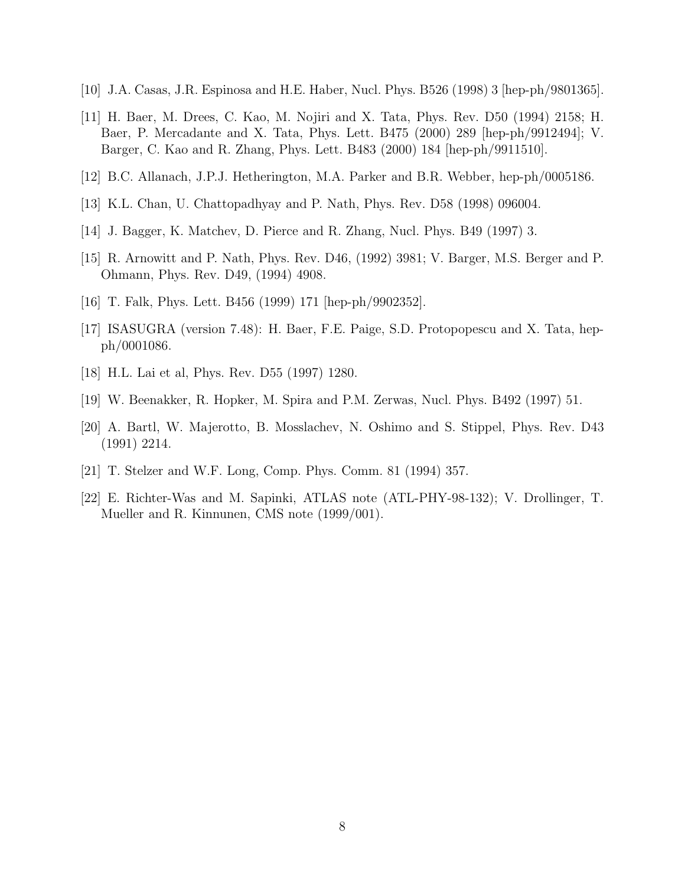- [10] J.A. Casas, J.R. Espinosa and H.E. Haber, Nucl. Phys. B526 (1998) 3 [hep-ph/9801365].
- [11] H. Baer, M. Drees, C. Kao, M. Nojiri and X. Tata, Phys. Rev. D50 (1994) 2158; H. Baer, P. Mercadante and X. Tata, Phys. Lett. B475 (2000) 289 [hep-ph/9912494]; V. Barger, C. Kao and R. Zhang, Phys. Lett. B483 (2000) 184 [hep-ph/9911510].
- [12] B.C. Allanach, J.P.J. Hetherington, M.A. Parker and B.R. Webber, hep-ph/0005186.
- [13] K.L. Chan, U. Chattopadhyay and P. Nath, Phys. Rev. D58 (1998) 096004.
- [14] J. Bagger, K. Matchev, D. Pierce and R. Zhang, Nucl. Phys. B49 (1997) 3.
- [15] R. Arnowitt and P. Nath, Phys. Rev. D46, (1992) 3981; V. Barger, M.S. Berger and P. Ohmann, Phys. Rev. D49, (1994) 4908.
- [16] T. Falk, Phys. Lett. B456 (1999) 171 [hep-ph/9902352].
- [17] ISASUGRA (version 7.48): H. Baer, F.E. Paige, S.D. Protopopescu and X. Tata, hepph/0001086.
- [18] H.L. Lai et al, Phys. Rev. D55 (1997) 1280.
- [19] W. Beenakker, R. Hopker, M. Spira and P.M. Zerwas, Nucl. Phys. B492 (1997) 51.
- [20] A. Bartl, W. Majerotto, B. Mosslachev, N. Oshimo and S. Stippel, Phys. Rev. D43 (1991) 2214.
- [21] T. Stelzer and W.F. Long, Comp. Phys. Comm. 81 (1994) 357.
- [22] E. Richter-Was and M. Sapinki, ATLAS note (ATL-PHY-98-132); V. Drollinger, T. Mueller and R. Kinnunen, CMS note (1999/001).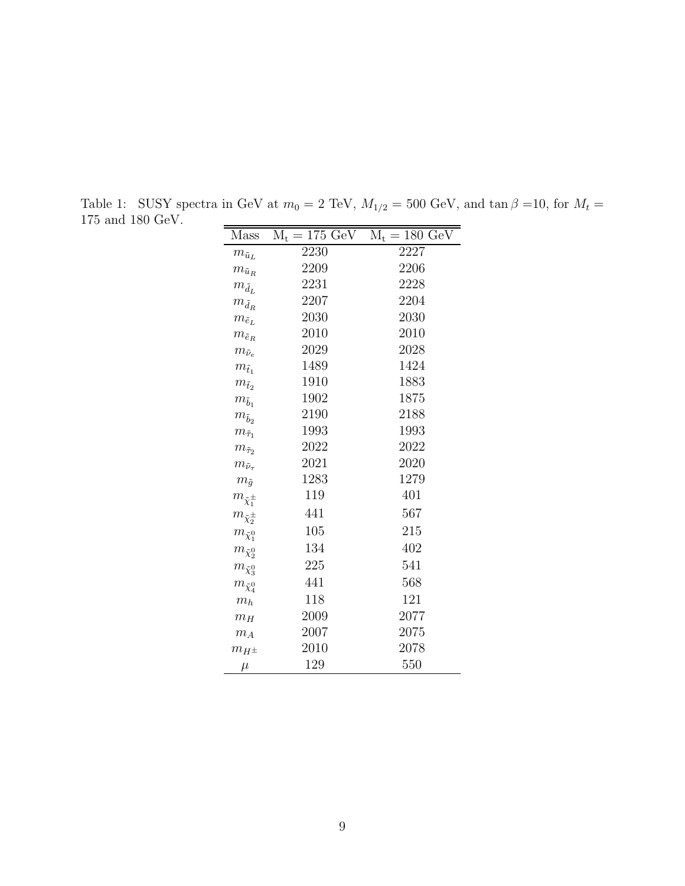| Mass                     | $M_t = 175 \text{ GeV}$ | $M_t = 180 \text{ GeV}$ |
|--------------------------|-------------------------|-------------------------|
| $m_{\tilde{u}_L}$        | 2230                    | 2227                    |
| $m_{\tilde{u}_R}$        | 2209                    | 2206                    |
| $m_{\tilde{d}_L}$        | 2231                    | 2228                    |
| $m_{\tilde{d}_R}$        | 2207                    | 2204                    |
| $m_{\tilde{e}_L}$        | 2030                    | 2030                    |
| $m_{\tilde{e}_R}$        | 2010                    | 2010                    |
| $m_{\tilde{\nu}_e}$      | 2029                    | 2028                    |
| $m_{\tilde{t}_1}$        | 1489                    | 1424                    |
| $m_{\tilde{t}_2}$        | 1910                    | 1883                    |
| $m_{\tilde{b}_1}$        | 1902                    | 1875                    |
| $m_{\tilde{b}_2}$        | 2190                    | 2188                    |
| $m_{\tilde{\tau}_1}$     | 1993                    | 1993                    |
| $m_{\tilde\tau_2}$       | 2022                    | 2022                    |
| $m_{\tilde \nu_\tau}$    | 2021                    | 2020                    |
| $m_{\tilde{g}}$          | 1283                    | 1279                    |
| $m_{\tilde{\chi}^\pm_1}$ | 119                     | 401                     |
| $m_{\tilde{\chi}^\pm_2}$ | 441                     | 567                     |
| $m_{\tilde{\chi}^0_1}$   | 105                     | 215                     |
| $m_{\tilde{\chi}^0_2}$   | 134                     | 402                     |
| $m_{\tilde{\chi}^0_3}$   | 225                     | 541                     |
| $m_{\tilde{\chi}^0_4}$   | 441                     | 568                     |
| $\mathfrak{m}_h$         | 118                     | 121                     |
| $m_H$                    | 2009                    | 2077                    |
| $m_A$                    | 2007                    | 2075                    |
| $m_{H^{\pm}}$            | 2010                    | 2078                    |
| $\mu$                    | 129                     | 550                     |

Table 1: SUSY spectra in GeV at  $m_0 = 2$  TeV,  $M_{1/2} = 500$  GeV, and  $\tan \beta = 10$ , for  $M_t =$ 175 and 180 GeV.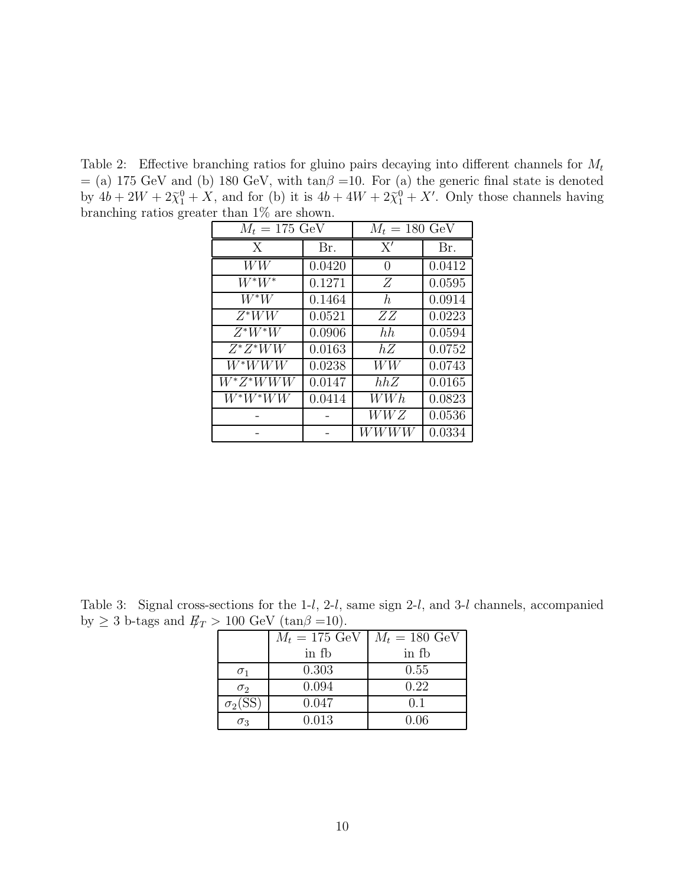Table 2: Effective branching ratios for gluino pairs decaying into different channels for  $M_t$  $=$  (a) 175 GeV and (b) 180 GeV, with tan $\beta$  =10. For (a) the generic final state is denoted by  $4b + 2W + 2\tilde{\chi}_1^0 + X$ , and for (b) it is  $4b + 4W + 2\tilde{\chi}_1^0 + X'$ . Only those channels having branching ratios greater than 1% are shown.

| $M_t = 175 \text{ GeV}$ |        | $M_t = 180 \text{ GeV}$ |        |
|-------------------------|--------|-------------------------|--------|
| X                       | Br.    | X'                      | Br.    |
| WW                      | 0.0420 | $\left( \right)$        | 0.0412 |
| $W^*W^*$                | 0.1271 | Z                       | 0.0595 |
| $W^*W$                  | 0.1464 | h.                      | 0.0914 |
| $Z^*WW$                 | 0.0521 | ZΖ                      | 0.0223 |
| $Z^*W^*W$               | 0.0906 | hh                      | 0.0594 |
| $Z^*Z^*WW$              | 0.0163 | hZ                      | 0.0752 |
| $W^*WWW$                | 0.0238 | WW                      | 0.0743 |
| $W^*Z^*WWW$             | 0.0147 | hhZ                     | 0.0165 |
| $W^*W^*WW$              | 0.0414 | WWh                     | 0.0823 |
|                         |        | WWZ                     | 0.0536 |
|                         |        | WWWWW                   | 0.0334 |

Table 3: Signal cross-sections for the 1-*l*, 2-*l*, same sign 2-*l*, and 3-*l* channels, accompanied by  $\geq$  3 b-tags and  $E_T > 100$  GeV (tan $\beta$  =10).

|                 | $M_t = 175 \text{ GeV}$ | $M_t = 180 \text{ GeV}$ |
|-----------------|-------------------------|-------------------------|
|                 | in fb                   | in fb                   |
| $\sigma_1$      | 0.303                   | 0.55                    |
| $\sigma_2$      | 0.094                   | 0.22                    |
| $\sigma_2$ (SS) | 0.047                   | 0.1                     |
| $\sigma_3$      | 0.013                   | $0.06\,$                |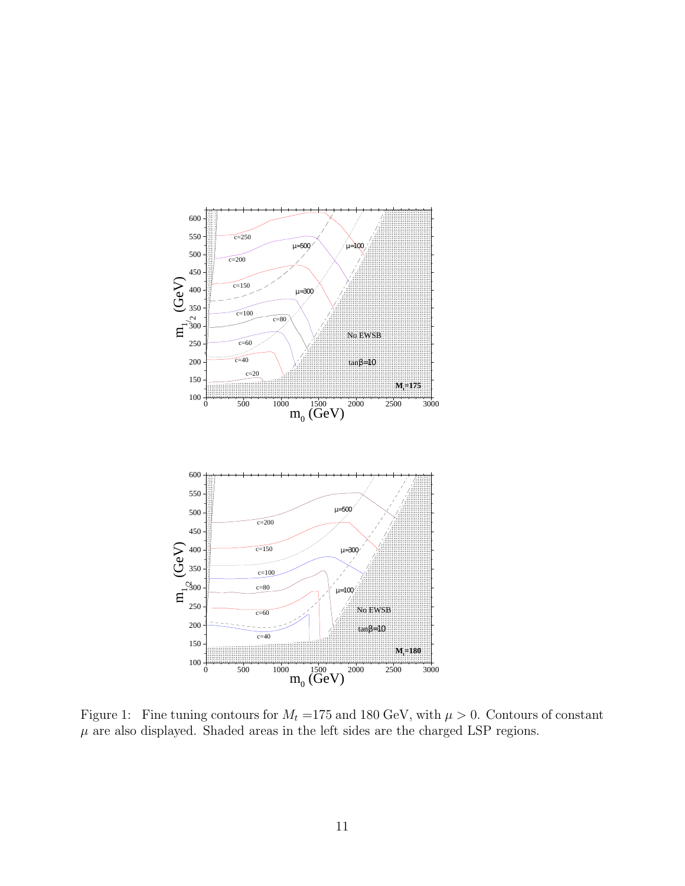

Figure 1: Fine tuning contours for  $M_t = 175$  and 180 GeV, with  $\mu > 0$ . Contours of constant  $\mu$  are also displayed. Shaded areas in the left sides are the charged LSP regions.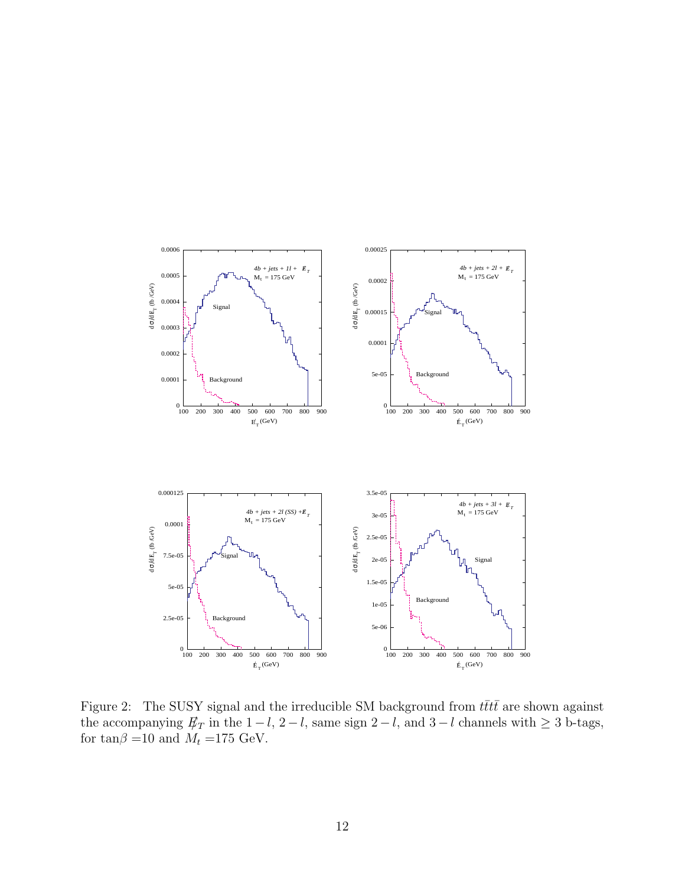

Figure 2: The SUSY signal and the irreducible SM background from  $t\bar{t}t\bar{t}$  are shown against the accompanying  $E_T$  in the  $1 - l$ ,  $2 - l$ , same sign  $2 - l$ , and  $3 - l$  channels with  $\geq 3$  b-tags, for  $\tan\!\beta = 10$  and  $M_t = 175$  GeV.